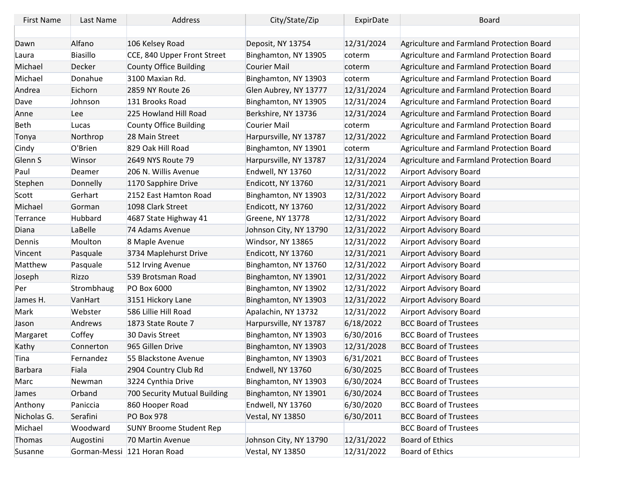| <b>First Name</b> | Last Name       | Address                        | City/State/Zip          | ExpirDate  | Board                                     |
|-------------------|-----------------|--------------------------------|-------------------------|------------|-------------------------------------------|
|                   |                 |                                |                         |            |                                           |
| Dawn              | Alfano          | 106 Kelsey Road                | Deposit, NY 13754       | 12/31/2024 | Agriculture and Farmland Protection Board |
| Laura             | <b>Biasillo</b> | CCE, 840 Upper Front Street    | Binghamton, NY 13905    | coterm     | Agriculture and Farmland Protection Board |
| Michael           | Decker          | <b>County Office Building</b>  | Courier Mail            | coterm     | Agriculture and Farmland Protection Board |
| Michael           | Donahue         | 3100 Maxian Rd.                | Binghamton, NY 13903    | coterm     | Agriculture and Farmland Protection Board |
| Andrea            | Eichorn         | 2859 NY Route 26               | Glen Aubrey, NY 13777   | 12/31/2024 | Agriculture and Farmland Protection Board |
| Dave              | Johnson         | 131 Brooks Road                | Binghamton, NY 13905    | 12/31/2024 | Agriculture and Farmland Protection Board |
| Anne              | Lee             | 225 Howland Hill Road          | Berkshire, NY 13736     | 12/31/2024 | Agriculture and Farmland Protection Board |
| <b>Beth</b>       | Lucas           | <b>County Office Building</b>  | Courier Mail            | coterm     | Agriculture and Farmland Protection Board |
| Tonya             | Northrop        | 28 Main Street                 | Harpursville, NY 13787  | 12/31/2022 | Agriculture and Farmland Protection Board |
| Cindy             | O'Brien         | 829 Oak Hill Road              | Binghamton, NY 13901    | coterm     | Agriculture and Farmland Protection Board |
| Glenn S           | Winsor          | 2649 NYS Route 79              | Harpursville, NY 13787  | 12/31/2024 | Agriculture and Farmland Protection Board |
| Paul              | Deamer          | 206 N. Willis Avenue           | Endwell, NY 13760       | 12/31/2022 | Airport Advisory Board                    |
| Stephen           | Donnelly        | 1170 Sapphire Drive            | Endicott, NY 13760      | 12/31/2021 | Airport Advisory Board                    |
| Scott             | Gerhart         | 2152 East Hamton Road          | Binghamton, NY 13903    | 12/31/2022 | Airport Advisory Board                    |
| Michael           | Gorman          | 1098 Clark Street              | Endicott, NY 13760      | 12/31/2022 | Airport Advisory Board                    |
| Terrance          | Hubbard         | 4687 State Highway 41          | Greene, NY 13778        | 12/31/2022 | Airport Advisory Board                    |
| Diana             | LaBelle         | 74 Adams Avenue                | Johnson City, NY 13790  | 12/31/2022 | Airport Advisory Board                    |
| Dennis            | Moulton         | 8 Maple Avenue                 | Windsor, NY 13865       | 12/31/2022 | Airport Advisory Board                    |
| Vincent           | Pasquale        | 3734 Maplehurst Drive          | Endicott, NY 13760      | 12/31/2021 | Airport Advisory Board                    |
| Matthew           | Pasquale        | 512 Irving Avenue              | Binghamton, NY 13760    | 12/31/2022 | Airport Advisory Board                    |
| Joseph            | Rizzo           | 539 Brotsman Road              | Binghamton, NY 13901    | 12/31/2022 | Airport Advisory Board                    |
| Per               | Strombhaug      | PO Box 6000                    | Binghamton, NY 13902    | 12/31/2022 | Airport Advisory Board                    |
| James H.          | VanHart         | 3151 Hickory Lane              | Binghamton, NY 13903    | 12/31/2022 | Airport Advisory Board                    |
| Mark              | Webster         | 586 Lillie Hill Road           | Apalachin, NY 13732     | 12/31/2022 | Airport Advisory Board                    |
| Jason             | Andrews         | 1873 State Route 7             | Harpursville, NY 13787  | 6/18/2022  | <b>BCC Board of Trustees</b>              |
| Margaret          | Coffey          | 30 Davis Street                | Binghamton, NY 13903    | 6/30/2016  | <b>BCC Board of Trustees</b>              |
| Kathy             | Connerton       | 965 Gillen Drive               | Binghamton, NY 13903    | 12/31/2028 | <b>BCC Board of Trustees</b>              |
| Tina              | Fernandez       | 55 Blackstone Avenue           | Binghamton, NY 13903    | 6/31/2021  | <b>BCC Board of Trustees</b>              |
| <b>Barbara</b>    | Fiala           | 2904 Country Club Rd           | Endwell, NY 13760       | 6/30/2025  | <b>BCC Board of Trustees</b>              |
| Marc              | Newman          | 3224 Cynthia Drive             | Binghamton, NY 13903    | 6/30/2024  | <b>BCC Board of Trustees</b>              |
| James             | Orband          | 700 Security Mutual Building   | Binghamton, NY 13901    | 6/30/2024  | <b>BCC Board of Trustees</b>              |
| Anthony           | Paniccia        | 860 Hooper Road                | Endwell, NY 13760       | 6/30/2020  | <b>BCC Board of Trustees</b>              |
| Nicholas G.       | Serafini        | <b>PO Box 978</b>              | <b>Vestal, NY 13850</b> | 6/30/2011  | <b>BCC Board of Trustees</b>              |
| Michael           | Woodward        | <b>SUNY Broome Student Rep</b> |                         |            | <b>BCC Board of Trustees</b>              |
| Thomas            | Augostini       | 70 Martin Avenue               | Johnson City, NY 13790  | 12/31/2022 | <b>Board of Ethics</b>                    |
| Susanne           |                 | Gorman-Messi 121 Horan Road    | <b>Vestal, NY 13850</b> | 12/31/2022 | <b>Board of Ethics</b>                    |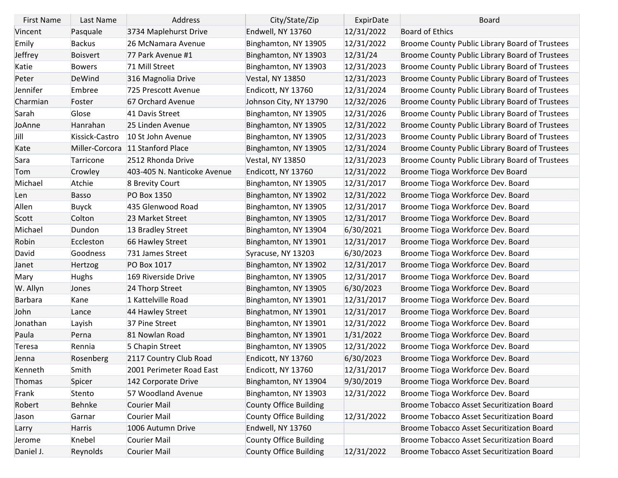| <b>First Name</b> | Last Name       | Address                     | City/State/Zip                | ExpirDate  | <b>Board</b>                                   |
|-------------------|-----------------|-----------------------------|-------------------------------|------------|------------------------------------------------|
| Vincent           | Pasquale        | 3734 Maplehurst Drive       | Endwell, NY 13760             | 12/31/2022 | <b>Board of Ethics</b>                         |
| Emily             | <b>Backus</b>   | 26 McNamara Avenue          | Binghamton, NY 13905          | 12/31/2022 | Broome County Public Library Board of Trustees |
| Jeffrey           | <b>Boisvert</b> | 77 Park Avenue #1           | Binghamton, NY 13903          | 12/31/24   | Broome County Public Library Board of Trustees |
| Katie             | <b>Bowers</b>   | 71 Mill Street              | Binghamton, NY 13903          | 12/31/2023 | Broome County Public Library Board of Trustees |
| Peter             | DeWind          | 316 Magnolia Drive          | <b>Vestal, NY 13850</b>       | 12/31/2023 | Broome County Public Library Board of Trustees |
| Jennifer          | Embree          | 725 Prescott Avenue         | Endicott, NY 13760            | 12/31/2024 | Broome County Public Library Board of Trustees |
| Charmian          | Foster          | 67 Orchard Avenue           | Johnson City, NY 13790        | 12/32/2026 | Broome County Public Library Board of Trustees |
| Sarah             | Glose           | 41 Davis Street             | Binghamton, NY 13905          | 12/31/2026 | Broome County Public Library Board of Trustees |
| JoAnne            | Hanrahan        | 25 Linden Avenue            | Binghamton, NY 13905          | 12/31/2022 | Broome County Public Library Board of Trustees |
| Jill              | Kissick-Castro  | 10 St John Avenue           | Binghamton, NY 13905          | 12/31/2023 | Broome County Public Library Board of Trustees |
| Kate              | Miller-Corcora  | 11 Stanford Place           | Binghamton, NY 13905          | 12/31/2024 | Broome County Public Library Board of Trustees |
| Sara              | Tarricone       | 2512 Rhonda Drive           | <b>Vestal, NY 13850</b>       | 12/31/2023 | Broome County Public Library Board of Trustees |
| Tom               | Crowley         | 403-405 N. Nanticoke Avenue | Endicott, NY 13760            | 12/31/2022 | Broome Tioga Workforce Dev Board               |
| Michael           | Atchie          | 8 Brevity Court             | Binghamton, NY 13905          | 12/31/2017 | Broome Tioga Workforce Dev. Board              |
| Len               | <b>Basso</b>    | PO Box 1350                 | Binghamton, NY 13902          | 12/31/2022 | Broome Tioga Workforce Dev. Board              |
| Allen             | <b>Buyck</b>    | 435 Glenwood Road           | Binghamton, NY 13905          | 12/31/2017 | Broome Tioga Workforce Dev. Board              |
| Scott             | Colton          | 23 Market Street            | Binghamton, NY 13905          | 12/31/2017 | Broome Tioga Workforce Dev. Board              |
| Michael           | Dundon          | 13 Bradley Street           | Binghamton, NY 13904          | 6/30/2021  | Broome Tioga Workforce Dev. Board              |
| Robin             | Eccleston       | 66 Hawley Street            | Binghamton, NY 13901          | 12/31/2017 | Broome Tioga Workforce Dev. Board              |
| David             | Goodness        | 731 James Street            | Syracuse, NY 13203            | 6/30/2023  | Broome Tioga Workforce Dev. Board              |
| Janet             | Hertzog         | PO Box 1017                 | Binghamton, NY 13902          | 12/31/2017 | Broome Tioga Workforce Dev. Board              |
| Mary              | <b>Hughs</b>    | 169 Riverside Drive         | Binghamton, NY 13905          | 12/31/2017 | Broome Tioga Workforce Dev. Board              |
| W. Allyn          | Jones           | 24 Thorp Street             | Binghamton, NY 13905          | 6/30/2023  | Broome Tioga Workforce Dev. Board              |
| <b>Barbara</b>    | Kane            | 1 Kattelville Road          | Binghamton, NY 13901          | 12/31/2017 | Broome Tioga Workforce Dev. Board              |
| John              | Lance           | 44 Hawley Street            | Binghatmon, NY 13901          | 12/31/2017 | Broome Tioga Workforce Dev. Board              |
| Jonathan          | Layish          | 37 Pine Street              | Binghamton, NY 13901          | 12/31/2022 | Broome Tioga Workforce Dev. Board              |
| Paula             | Perna           | 81 Nowlan Road              | Binghamton, NY 13901          | 1/31/2022  | Broome Tioga Workforce Dev. Board              |
| Teresa            | Rennia          | 5 Chapin Street             | Binghamton, NY 13905          | 12/31/2022 | Broome Tioga Workforce Dev. Board              |
| Jenna             | Rosenberg       | 2117 Country Club Road      | Endicott, NY 13760            | 6/30/2023  | Broome Tioga Workforce Dev. Board              |
| Kenneth           | Smith           | 2001 Perimeter Road East    | Endicott, NY 13760            | 12/31/2017 | Broome Tioga Workforce Dev. Board              |
| Thomas            | Spicer          | 142 Corporate Drive         | Binghamton, NY 13904          | 9/30/2019  | Broome Tioga Workforce Dev. Board              |
| Frank             | Stento          | 57 Woodland Avenue          | Binghamton, NY 13903          | 12/31/2022 | Broome Tioga Workforce Dev. Board              |
| Robert            | <b>Behnke</b>   | Courier Mail                | <b>County Office Building</b> |            | Broome Tobacco Asset Securitization Board      |
| Jason             | Garnar          | Courier Mail                | County Office Building        | 12/31/2022 | Broome Tobacco Asset Securitization Board      |
| Larry             | <b>Harris</b>   | 1006 Autumn Drive           | Endwell, NY 13760             |            | Broome Tobacco Asset Securitization Board      |
| Jerome            | Knebel          | <b>Courier Mail</b>         | County Office Building        |            | Broome Tobacco Asset Securitization Board      |
| Daniel J.         | Reynolds        | Courier Mail                | <b>County Office Building</b> | 12/31/2022 | Broome Tobacco Asset Securitization Board      |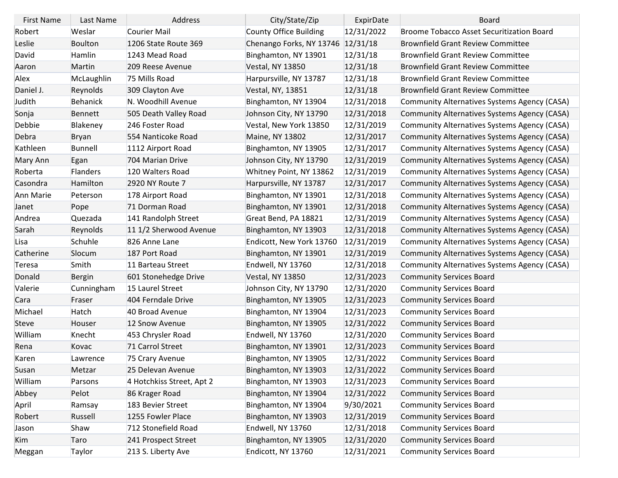| <b>First Name</b> | Last Name       | Address                   | City/State/Zip           | ExpirDate  | <b>Board</b>                                     |
|-------------------|-----------------|---------------------------|--------------------------|------------|--------------------------------------------------|
| Robert            | Weslar          | Courier Mail              | County Office Building   | 12/31/2022 | <b>Broome Tobacco Asset Securitization Board</b> |
| Leslie            | <b>Boulton</b>  | 1206 State Route 369      | Chenango Forks, NY 13746 | 12/31/18   | <b>Brownfield Grant Review Committee</b>         |
| David             | Hamlin          | 1243 Mead Road            | Binghamton, NY 13901     | 12/31/18   | <b>Brownfield Grant Review Committee</b>         |
| Aaron             | Martin          | 209 Reese Avenue          | <b>Vestal, NY 13850</b>  | 12/31/18   | <b>Brownfield Grant Review Committee</b>         |
| Alex              | McLaughlin      | 75 Mills Road             | Harpursville, NY 13787   | 12/31/18   | <b>Brownfield Grant Review Committee</b>         |
| Daniel J.         | Reynolds        | 309 Clayton Ave           | Vestal, NY, 13851        | 12/31/18   | <b>Brownfield Grant Review Committee</b>         |
| Judith            | <b>Behanick</b> | N. Woodhill Avenue        | Binghamton, NY 13904     | 12/31/2018 | Community Alternatives Systems Agency (CASA)     |
| Sonja             | Bennett         | 505 Death Valley Road     | Johnson City, NY 13790   | 12/31/2018 | Community Alternatives Systems Agency (CASA)     |
| Debbie            | Blakeney        | 246 Foster Road           | Vestal, New York 13850   | 12/31/2019 | Community Alternatives Systems Agency (CASA)     |
| Debra             | <b>Bryan</b>    | 554 Nanticoke Road        | Maine, NY 13802          | 12/31/2017 | Community Alternatives Systems Agency (CASA)     |
| Kathleen          | <b>Bunnell</b>  | 1112 Airport Road         | Binghamton, NY 13905     | 12/31/2017 | Community Alternatives Systems Agency (CASA)     |
| Mary Ann          | Egan            | 704 Marian Drive          | Johnson City, NY 13790   | 12/31/2019 | Community Alternatives Systems Agency (CASA)     |
| Roberta           | <b>Flanders</b> | 120 Walters Road          | Whitney Point, NY 13862  | 12/31/2019 | Community Alternatives Systems Agency (CASA)     |
| Casondra          | Hamilton        | 2920 NY Route 7           | Harpursville, NY 13787   | 12/31/2017 | Community Alternatives Systems Agency (CASA)     |
| Ann Marie         | Peterson        | 178 Airport Road          | Binghamton, NY 13901     | 12/31/2018 | Community Alternatives Systems Agency (CASA)     |
| Janet             | Pope            | 71 Dorman Road            | Binghamton, NY 13901     | 12/31/2018 | Community Alternatives Systems Agency (CASA)     |
| Andrea            | Quezada         | 141 Randolph Street       | Great Bend, PA 18821     | 12/31/2019 | Community Alternatives Systems Agency (CASA)     |
| Sarah             | Reynolds        | 11 1/2 Sherwood Avenue    | Binghamton, NY 13903     | 12/31/2018 | Community Alternatives Systems Agency (CASA)     |
| Lisa              | Schuhle         | 826 Anne Lane             | Endicott, New York 13760 | 12/31/2019 | Community Alternatives Systems Agency (CASA)     |
| Catherine         | Slocum          | 187 Port Road             | Binghamton, NY 13901     | 12/31/2019 | Community Alternatives Systems Agency (CASA)     |
| Teresa            | Smith           | 11 Barteau Street         | Endwell, NY 13760        | 12/31/2018 | Community Alternatives Systems Agency (CASA)     |
| Donald            | <b>Bergin</b>   | 601 Stonehedge Drive      | <b>Vestal, NY 13850</b>  | 12/31/2023 | <b>Community Services Board</b>                  |
| Valerie           | Cunningham      | 15 Laurel Street          | Johnson City, NY 13790   | 12/31/2020 | <b>Community Services Board</b>                  |
| Cara              | Fraser          | 404 Ferndale Drive        | Binghamton, NY 13905     | 12/31/2023 | <b>Community Services Board</b>                  |
| Michael           | Hatch           | 40 Broad Avenue           | Binghamton, NY 13904     | 12/31/2023 | <b>Community Services Board</b>                  |
| <b>Steve</b>      | Houser          | 12 Snow Avenue            | Binghamton, NY 13905     | 12/31/2022 | <b>Community Services Board</b>                  |
| William           | Knecht          | 453 Chrysler Road         | Endwell, NY 13760        | 12/31/2020 | <b>Community Services Board</b>                  |
| Rena              | Kovac           | 71 Carrol Street          | Binghamton, NY 13901     | 12/31/2023 | <b>Community Services Board</b>                  |
| Karen             | Lawrence        | 75 Crary Avenue           | Binghamton, NY 13905     | 12/31/2022 | <b>Community Services Board</b>                  |
| Susan             | Metzar          | 25 Delevan Avenue         | Binghamton, NY 13903     | 12/31/2022 | <b>Community Services Board</b>                  |
| William           | Parsons         | 4 Hotchkiss Street, Apt 2 | Binghamton, NY 13903     | 12/31/2023 | <b>Community Services Board</b>                  |
| Abbey             | Pelot           | 86 Krager Road            | Binghamton, NY 13904     | 12/31/2022 | <b>Community Services Board</b>                  |
| April             | Ramsay          | 183 Bevier Street         | Binghamton, NY 13904     | 9/30/2021  | <b>Community Services Board</b>                  |
| Robert            | Russell         | 1255 Fowler Place         | Binghamton, NY 13903     | 12/31/2019 | <b>Community Services Board</b>                  |
| Jason             | Shaw            | 712 Stonefield Road       | Endwell, NY 13760        | 12/31/2018 | <b>Community Services Board</b>                  |
| Kim               | Taro            | 241 Prospect Street       | Binghamton, NY 13905     | 12/31/2020 | <b>Community Services Board</b>                  |
| Meggan            | Taylor          | 213 S. Liberty Ave        | Endicott, NY 13760       | 12/31/2021 | <b>Community Services Board</b>                  |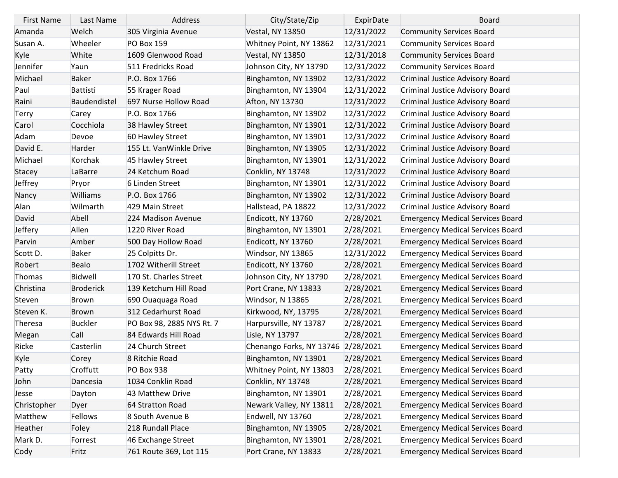| <b>First Name</b> | Last Name        | Address                   | City/State/Zip                     | ExpirDate  | <b>Board</b>                            |
|-------------------|------------------|---------------------------|------------------------------------|------------|-----------------------------------------|
| Amanda            | Welch            | 305 Virginia Avenue       | <b>Vestal, NY 13850</b>            | 12/31/2022 | <b>Community Services Board</b>         |
| Susan A.          | Wheeler          | <b>PO Box 159</b>         | Whitney Point, NY 13862            | 12/31/2021 | <b>Community Services Board</b>         |
| Kyle              | White            | 1609 Glenwood Road        | <b>Vestal, NY 13850</b>            | 12/31/2018 | <b>Community Services Board</b>         |
| Jennifer          | Yaun             | 511 Fredricks Road        | Johnson City, NY 13790             | 12/31/2022 | <b>Community Services Board</b>         |
| Michael           | <b>Baker</b>     | P.O. Box 1766             | Binghamton, NY 13902               | 12/31/2022 | Criminal Justice Advisory Board         |
| Paul              | Battisti         | 55 Krager Road            | Binghamton, NY 13904               | 12/31/2022 | Criminal Justice Advisory Board         |
| Raini             | Baudendistel     | 697 Nurse Hollow Road     | Afton, NY 13730                    | 12/31/2022 | Criminal Justice Advisory Board         |
| Terry             | Carey            | P.O. Box 1766             | Binghamton, NY 13902               | 12/31/2022 | Criminal Justice Advisory Board         |
| Carol             | Cocchiola        | 38 Hawley Street          | Binghamton, NY 13901               | 12/31/2022 | Criminal Justice Advisory Board         |
| Adam              | Devoe            | 60 Hawley Street          | Binghamton, NY 13901               | 12/31/2022 | Criminal Justice Advisory Board         |
| David E.          | Harder           | 155 Lt. VanWinkle Drive   | Binghamton, NY 13905               | 12/31/2022 | Criminal Justice Advisory Board         |
| Michael           | Korchak          | 45 Hawley Street          | Binghamton, NY 13901               | 12/31/2022 | Criminal Justice Advisory Board         |
| Stacey            | LaBarre          | 24 Ketchum Road           | Conklin, NY 13748                  | 12/31/2022 | Criminal Justice Advisory Board         |
| Jeffrey           | Pryor            | 6 Linden Street           | Binghamton, NY 13901               | 12/31/2022 | Criminal Justice Advisory Board         |
| Nancy             | <b>Williams</b>  | P.O. Box 1766             | Binghamton, NY 13902               | 12/31/2022 | Criminal Justice Advisory Board         |
| Alan              | Wilmarth         | 429 Main Street           | Hallstead, PA 18822                | 12/31/2022 | Criminal Justice Advisory Board         |
| David             | Abell            | 224 Madison Avenue        | Endicott, NY 13760                 | 2/28/2021  | <b>Emergency Medical Services Board</b> |
| Jeffery           | Allen            | 1220 River Road           | Binghamton, NY 13901               | 2/28/2021  | <b>Emergency Medical Services Board</b> |
| Parvin            | Amber            | 500 Day Hollow Road       | Endicott, NY 13760                 | 2/28/2021  | <b>Emergency Medical Services Board</b> |
| Scott D.          | <b>Baker</b>     | 25 Colpitts Dr.           | Windsor, NY 13865                  | 12/31/2022 | <b>Emergency Medical Services Board</b> |
| Robert            | <b>Bealo</b>     | 1702 Witherill Street     | Endicott, NY 13760                 | 2/28/2021  | <b>Emergency Medical Services Board</b> |
| Thomas            | Bidwell          | 170 St. Charles Street    | Johnson City, NY 13790             | 2/28/2021  | <b>Emergency Medical Services Board</b> |
| Christina         | <b>Broderick</b> | 139 Ketchum Hill Road     | Port Crane, NY 13833               | 2/28/2021  | <b>Emergency Medical Services Board</b> |
| Steven            | <b>Brown</b>     | 690 Ouaquaga Road         | Windsor, N 13865                   | 2/28/2021  | <b>Emergency Medical Services Board</b> |
| Steven K.         | <b>Brown</b>     | 312 Cedarhurst Road       | Kirkwood, NY, 13795                | 2/28/2021  | <b>Emergency Medical Services Board</b> |
| Theresa           | <b>Buckler</b>   | PO Box 98, 2885 NYS Rt. 7 | Harpursville, NY 13787             | 2/28/2021  | <b>Emergency Medical Services Board</b> |
| Megan             | Call             | 84 Edwards Hill Road      | Lisle, NY 13797                    | 2/28/2021  | <b>Emergency Medical Services Board</b> |
| Ricke             | Casterlin        | 24 Church Street          | Chenango Forks, NY 13746 2/28/2021 |            | <b>Emergency Medical Services Board</b> |
| Kyle              | Corey            | 8 Ritchie Road            | Binghamton, NY 13901               | 2/28/2021  | <b>Emergency Medical Services Board</b> |
| Patty             | Croffutt         | <b>PO Box 938</b>         | Whitney Point, NY 13803            | 2/28/2021  | <b>Emergency Medical Services Board</b> |
| John              | Dancesia         | 1034 Conklin Road         | Conklin, NY 13748                  | 2/28/2021  | <b>Emergency Medical Services Board</b> |
| Jesse             | Dayton           | 43 Matthew Drive          | Binghamton, NY 13901               | 2/28/2021  | <b>Emergency Medical Services Board</b> |
| Christopher       | Dyer             | 64 Stratton Road          | Newark Valley, NY 13811            | 2/28/2021  | <b>Emergency Medical Services Board</b> |
| Matthew           | Fellows          | 8 South Avenue B          | Endwell, NY 13760                  | 2/28/2021  | <b>Emergency Medical Services Board</b> |
| Heather           | Foley            | 218 Rundall Place         | Binghamton, NY 13905               | 2/28/2021  | <b>Emergency Medical Services Board</b> |
| Mark D.           | Forrest          | 46 Exchange Street        | Binghamton, NY 13901               | 2/28/2021  | <b>Emergency Medical Services Board</b> |
| Cody              | Fritz            | 761 Route 369, Lot 115    | Port Crane, NY 13833               | 2/28/2021  | <b>Emergency Medical Services Board</b> |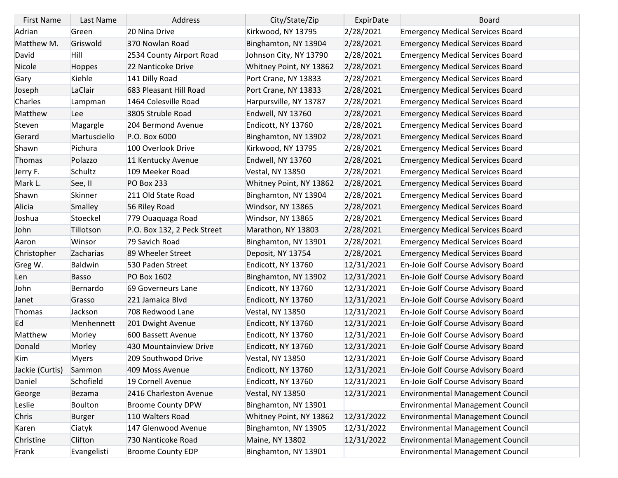| <b>First Name</b> | Last Name     | Address                     | City/State/Zip          | ExpirDate  | <b>Board</b>                            |
|-------------------|---------------|-----------------------------|-------------------------|------------|-----------------------------------------|
| Adrian            | Green         | 20 Nina Drive               | Kirkwood, NY 13795      | 2/28/2021  | <b>Emergency Medical Services Board</b> |
| Matthew M.        | Griswold      | 370 Nowlan Road             | Binghamton, NY 13904    | 2/28/2021  | <b>Emergency Medical Services Board</b> |
| David             | Hill          | 2534 County Airport Road    | Johnson City, NY 13790  | 2/28/2021  | <b>Emergency Medical Services Board</b> |
| Nicole            | <b>Hoppes</b> | 22 Nanticoke Drive          | Whitney Point, NY 13862 | 2/28/2021  | <b>Emergency Medical Services Board</b> |
| Gary              | Kiehle        | 141 Dilly Road              | Port Crane, NY 13833    | 2/28/2021  | <b>Emergency Medical Services Board</b> |
| Joseph            | LaClair       | 683 Pleasant Hill Road      | Port Crane, NY 13833    | 2/28/2021  | <b>Emergency Medical Services Board</b> |
| Charles           | Lampman       | 1464 Colesville Road        | Harpursville, NY 13787  | 2/28/2021  | <b>Emergency Medical Services Board</b> |
| Matthew           | <b>Lee</b>    | 3805 Struble Road           | Endwell, NY 13760       | 2/28/2021  | <b>Emergency Medical Services Board</b> |
| Steven            | Magargle      | 204 Bermond Avenue          | Endicott, NY 13760      | 2/28/2021  | <b>Emergency Medical Services Board</b> |
| Gerard            | Martusciello  | P.O. Box 6000               | Binghamton, NY 13902    | 2/28/2021  | <b>Emergency Medical Services Board</b> |
| Shawn             | Pichura       | 100 Overlook Drive          | Kirkwood, NY 13795      | 2/28/2021  | <b>Emergency Medical Services Board</b> |
| Thomas            | Polazzo       | 11 Kentucky Avenue          | Endwell, NY 13760       | 2/28/2021  | <b>Emergency Medical Services Board</b> |
| Jerry F.          | Schultz       | 109 Meeker Road             | Vestal, NY 13850        | 2/28/2021  | <b>Emergency Medical Services Board</b> |
| Mark L.           | See, II       | <b>PO Box 233</b>           | Whitney Point, NY 13862 | 2/28/2021  | <b>Emergency Medical Services Board</b> |
| Shawn             | Skinner       | 211 Old State Road          | Binghamton, NY 13904    | 2/28/2021  | <b>Emergency Medical Services Board</b> |
| Alicia            | Smalley       | 56 Riley Road               | Windsor, NY 13865       | 2/28/2021  | <b>Emergency Medical Services Board</b> |
| Joshua            | Stoeckel      | 779 Ouaquaga Road           | Windsor, NY 13865       | 2/28/2021  | <b>Emergency Medical Services Board</b> |
| John              | Tillotson     | P.O. Box 132, 2 Peck Street | Marathon, NY 13803      | 2/28/2021  | <b>Emergency Medical Services Board</b> |
| Aaron             | Winsor        | 79 Savich Road              | Binghamton, NY 13901    | 2/28/2021  | <b>Emergency Medical Services Board</b> |
| Christopher       | Zacharias     | 89 Wheeler Street           | Deposit, NY 13754       | 2/28/2021  | <b>Emergency Medical Services Board</b> |
| Greg W.           | Baldwin       | 530 Paden Street            | Endicott, NY 13760      | 12/31/2021 | En-Joie Golf Course Advisory Board      |
| Len               | <b>Basso</b>  | PO Box 1602                 | Binghamton, NY 13902    | 12/31/2021 | En-Joie Golf Course Advisory Board      |
| John              | Bernardo      | 69 Governeurs Lane          | Endicott, NY 13760      | 12/31/2021 | En-Joie Golf Course Advisory Board      |
| Janet             | Grasso        | 221 Jamaica Blvd            | Endicott, NY 13760      | 12/31/2021 | En-Joie Golf Course Advisory Board      |
| Thomas            | Jackson       | 708 Redwood Lane            | <b>Vestal, NY 13850</b> | 12/31/2021 | En-Joie Golf Course Advisory Board      |
| Ed                | Menhennett    | 201 Dwight Avenue           | Endicott, NY 13760      | 12/31/2021 | En-Joie Golf Course Advisory Board      |
| Matthew           | Morley        | 600 Bassett Avenue          | Endicott, NY 13760      | 12/31/2021 | En-Joie Golf Course Advisory Board      |
| Donald            | Morley        | 430 Mountainview Drive      | Endicott, NY 13760      | 12/31/2021 | En-Joie Golf Course Advisory Board      |
| Kim               | <b>Myers</b>  | 209 Southwood Drive         | <b>Vestal, NY 13850</b> | 12/31/2021 | En-Joie Golf Course Advisory Board      |
| Jackie (Curtis)   | Sammon        | 409 Moss Avenue             | Endicott, NY 13760      | 12/31/2021 | En-Joie Golf Course Advisory Board      |
| Daniel            | Schofield     | 19 Cornell Avenue           | Endicott, NY 13760      | 12/31/2021 | En-Joie Golf Course Advisory Board      |
| George            | Bezama        | 2416 Charleston Avenue      | <b>Vestal, NY 13850</b> | 12/31/2021 | <b>Environmental Management Council</b> |
| Leslie            | Boulton       | <b>Broome County DPW</b>    | Binghamton, NY 13901    |            | Environmental Management Council        |
| Chris             | <b>Burger</b> | 110 Walters Road            | Whitney Point, NY 13862 | 12/31/2022 | <b>Environmental Management Council</b> |
| Karen             | Ciatyk        | 147 Glenwood Avenue         | Binghamton, NY 13905    | 12/31/2022 | Environmental Management Council        |
| Christine         | Clifton       | 730 Nanticoke Road          | Maine, NY 13802         | 12/31/2022 | <b>Environmental Management Council</b> |
| Frank             | Evangelisti   | <b>Broome County EDP</b>    | Binghamton, NY 13901    |            | Environmental Management Council        |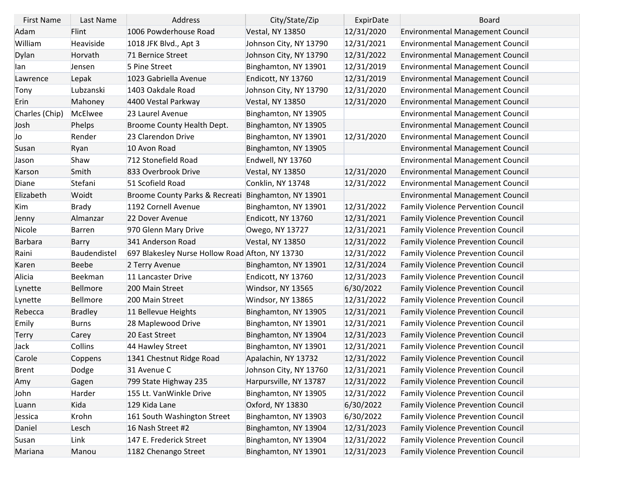| <b>First Name</b> | Last Name      | Address                                             | City/State/Zip          | ExpirDate  | <b>Board</b>                              |
|-------------------|----------------|-----------------------------------------------------|-------------------------|------------|-------------------------------------------|
| Adam              | Flint          | 1006 Powderhouse Road                               | <b>Vestal, NY 13850</b> | 12/31/2020 | <b>Environmental Management Council</b>   |
| William           | Heaviside      | 1018 JFK Blvd., Apt 3                               | Johnson City, NY 13790  | 12/31/2021 | <b>Environmental Management Council</b>   |
| Dylan             | Horvath        | 71 Bernice Street                                   | Johnson City, NY 13790  | 12/31/2022 | <b>Environmental Management Council</b>   |
| lan               | Jensen         | 5 Pine Street                                       | Binghamton, NY 13901    | 12/31/2019 | <b>Environmental Management Council</b>   |
| Lawrence          | Lepak          | 1023 Gabriella Avenue                               | Endicott, NY 13760      | 12/31/2019 | <b>Environmental Management Council</b>   |
| Tony              | Lubzanski      | 1403 Oakdale Road                                   | Johnson City, NY 13790  | 12/31/2020 | <b>Environmental Management Council</b>   |
| Erin              | Mahoney        | 4400 Vestal Parkway                                 | <b>Vestal, NY 13850</b> | 12/31/2020 | <b>Environmental Management Council</b>   |
| Charles (Chip)    | McElwee        | 23 Laurel Avenue                                    | Binghamton, NY 13905    |            | <b>Environmental Management Council</b>   |
| Josh              | Phelps         | Broome County Health Dept.                          | Binghamton, NY 13905    |            | <b>Environmental Management Council</b>   |
| Jo                | Render         | 23 Clarendon Drive                                  | Binghamton, NY 13901    | 12/31/2020 | <b>Environmental Management Council</b>   |
| Susan             | Ryan           | 10 Avon Road                                        | Binghamton, NY 13905    |            | <b>Environmental Management Council</b>   |
| Jason             | Shaw           | 712 Stonefield Road                                 | Endwell, NY 13760       |            | <b>Environmental Management Council</b>   |
| Karson            | Smith          | 833 Overbrook Drive                                 | <b>Vestal, NY 13850</b> | 12/31/2020 | <b>Environmental Management Council</b>   |
| Diane             | Stefani        | 51 Scofield Road                                    | Conklin, NY 13748       | 12/31/2022 | <b>Environmental Management Council</b>   |
| Elizabeth         | Woidt          | Broome County Parks & Recreati Binghamton, NY 13901 |                         |            | <b>Environmental Management Council</b>   |
| Kim               | <b>Brady</b>   | 1192 Cornell Avenue                                 | Binghamton, NY 13901    | 12/31/2022 | <b>Family Violence Pervention Council</b> |
| Jenny             | Almanzar       | 22 Dover Avenue                                     | Endicott, NY 13760      | 12/31/2021 | <b>Family Violence Prevention Council</b> |
| Nicole            | <b>Barren</b>  | 970 Glenn Mary Drive                                | Owego, NY 13727         | 12/31/2021 | <b>Family Violence Prevention Council</b> |
| <b>Barbara</b>    | <b>Barry</b>   | 341 Anderson Road                                   | <b>Vestal, NY 13850</b> | 12/31/2022 | <b>Family Violence Prevention Council</b> |
| Raini             | Baudendistel   | 697 Blakesley Nurse Hollow Road Afton, NY 13730     |                         | 12/31/2022 | <b>Family Violence Prevention Council</b> |
| Karen             | <b>Beebe</b>   | 2 Terry Avenue                                      | Binghamton, NY 13901    | 12/31/2024 | <b>Family Violence Prevention Council</b> |
| Alicia            | Beekman        | 11 Lancaster Drive                                  | Endicott, NY 13760      | 12/31/2023 | <b>Family Violence Prevention Council</b> |
| Lynette           | Bellmore       | 200 Main Street                                     | Windsor, NY 13565       | 6/30/2022  | <b>Family Violence Prevention Council</b> |
| Lynette           | Bellmore       | 200 Main Street                                     | Windsor, NY 13865       | 12/31/2022 | <b>Family Violence Prevention Council</b> |
| Rebecca           | <b>Bradley</b> | 11 Bellevue Heights                                 | Binghamton, NY 13905    | 12/31/2021 | <b>Family Violence Prevention Council</b> |
| Emily             | <b>Burns</b>   | 28 Maplewood Drive                                  | Binghamton, NY 13901    | 12/31/2021 | <b>Family Violence Prevention Council</b> |
| Terry             | Carey          | 20 East Street                                      | Binghamton, NY 13904    | 12/31/2023 | <b>Family Violence Prevention Council</b> |
| Jack              | <b>Collins</b> | 44 Hawley Street                                    | Binghamton, NY 13901    | 12/31/2021 | <b>Family Violence Prevention Council</b> |
| Carole            | Coppens        | 1341 Chestnut Ridge Road                            | Apalachin, NY 13732     | 12/31/2022 | <b>Family Violence Prevention Council</b> |
| <b>Brent</b>      | Dodge          | 31 Avenue C                                         | Johnson City, NY 13760  | 12/31/2021 | <b>Family Violence Prevention Council</b> |
| Amy               | Gagen          | 799 State Highway 235                               | Harpursville, NY 13787  | 12/31/2022 | <b>Family Violence Prevention Council</b> |
| John              | Harder         | 155 Lt. VanWinkle Drive                             | Binghamton, NY 13905    | 12/31/2022 | <b>Family Violence Prevention Council</b> |
| Luann             | Kida           | 129 Kida Lane                                       | Oxford, NY 13830        | 6/30/2022  | <b>Family Violence Prevention Council</b> |
| Jessica           | Krohn          | 161 South Washington Street                         | Binghamton, NY 13903    | 6/30/2022  | <b>Family Violence Prevention Council</b> |
| Daniel            | Lesch          | 16 Nash Street #2                                   | Binghamton, NY 13904    | 12/31/2023 | <b>Family Violence Prevention Council</b> |
| Susan             | Link           | 147 E. Frederick Street                             | Binghamton, NY 13904    | 12/31/2022 | <b>Family Violence Prevention Council</b> |
| Mariana           | Manou          | 1182 Chenango Street                                | Binghamton, NY 13901    | 12/31/2023 | <b>Family Violence Prevention Council</b> |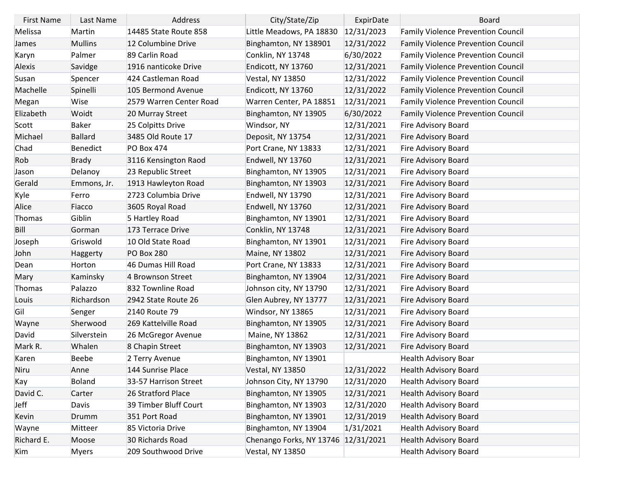| <b>First Name</b> | Last Name      | Address                 | City/State/Zip                      | ExpirDate  | Board                                     |
|-------------------|----------------|-------------------------|-------------------------------------|------------|-------------------------------------------|
| Melissa           | Martin         | 14485 State Route 858   | Little Meadows, PA 18830            | 12/31/2023 | <b>Family Violence Prevention Council</b> |
| James             | <b>Mullins</b> | 12 Columbine Drive      | Binghamton, NY 138901               | 12/31/2022 | <b>Family Violence Prevention Council</b> |
| Karyn             | Palmer         | 89 Carlin Road          | Conklin, NY 13748                   | 6/30/2022  | <b>Family Violence Prevention Council</b> |
| Alexis            | Savidge        | 1916 nanticoke Drive    | Endicott, NY 13760                  | 12/31/2021 | <b>Family Violence Prevention Council</b> |
| Susan             | Spencer        | 424 Castleman Road      | Vestal, NY 13850                    | 12/31/2022 | <b>Family Violence Prevention Council</b> |
| Machelle          | Spinelli       | 105 Bermond Avenue      | Endicott, NY 13760                  | 12/31/2022 | <b>Family Violence Prevention Council</b> |
| Megan             | Wise           | 2579 Warren Center Road | Warren Center, PA 18851             | 12/31/2021 | <b>Family Violence Prevention Council</b> |
| Elizabeth         | Woidt          | 20 Murray Street        | Binghamton, NY 13905                | 6/30/2022  | <b>Family Violence Prevention Council</b> |
| Scott             | <b>Baker</b>   | 25 Colpitts Drive       | Windsor, NY                         | 12/31/2021 | Fire Advisory Board                       |
| Michael           | <b>Ballard</b> | 3485 Old Route 17       | Deposit, NY 13754                   | 12/31/2021 | Fire Advisory Board                       |
| Chad              | Benedict       | <b>PO Box 474</b>       | Port Crane, NY 13833                | 12/31/2021 | Fire Advisory Board                       |
| Rob               | <b>Brady</b>   | 3116 Kensington Raod    | Endwell, NY 13760                   | 12/31/2021 | Fire Advisory Board                       |
| Jason             | Delanoy        | 23 Republic Street      | Binghamton, NY 13905                | 12/31/2021 | Fire Advisory Board                       |
| Gerald            | Emmons, Jr.    | 1913 Hawleyton Road     | Binghamton, NY 13903                | 12/31/2021 | Fire Advisory Board                       |
| Kyle              | Ferro          | 2723 Columbia Drive     | Endwell, NY 13790                   | 12/31/2021 | Fire Advisory Board                       |
| Alice             | Fiacco         | 3605 Royal Road         | Endwell, NY 13760                   | 12/31/2021 | Fire Advisory Board                       |
| Thomas            | Giblin         | 5 Hartley Road          | Binghamton, NY 13901                | 12/31/2021 | Fire Advisory Board                       |
| Bill              | Gorman         | 173 Terrace Drive       | Conklin, NY 13748                   | 12/31/2021 | Fire Advisory Board                       |
| Joseph            | Griswold       | 10 Old State Road       | Binghamton, NY 13901                | 12/31/2021 | Fire Advisory Board                       |
| John              | Haggerty       | <b>PO Box 280</b>       | Maine, NY 13802                     | 12/31/2021 | Fire Advisory Board                       |
| Dean              | Horton         | 46 Dumas Hill Road      | Port Crane, NY 13833                | 12/31/2021 | Fire Advisory Board                       |
| Mary              | Kaminsky       | 4 Brownson Street       | Binghamton, NY 13904                | 12/31/2021 | Fire Advisory Board                       |
| Thomas            | Palazzo        | 832 Townline Road       | Johnson city, NY 13790              | 12/31/2021 | Fire Advisory Board                       |
| Louis             | Richardson     | 2942 State Route 26     | Glen Aubrey, NY 13777               | 12/31/2021 | Fire Advisory Board                       |
| Gil               | Senger         | 2140 Route 79           | Windsor, NY 13865                   | 12/31/2021 | Fire Advisory Board                       |
| Wayne             | Sherwood       | 269 Kattelville Road    | Binghamton, NY 13905                | 12/31/2021 | Fire Advisory Board                       |
| David             | Silverstein    | 26 McGregor Avenue      | Maine, NY 13862                     | 12/31/2021 | Fire Advisory Board                       |
| Mark R.           | Whalen         | 8 Chapin Street         | Binghamton, NY 13903                | 12/31/2021 | Fire Advisory Board                       |
| Karen             | <b>Beebe</b>   | 2 Terry Avenue          | Binghamton, NY 13901                |            | <b>Health Advisory Boar</b>               |
| Niru              | Anne           | 144 Sunrise Place       | <b>Vestal, NY 13850</b>             | 12/31/2022 | <b>Health Advisory Board</b>              |
| Kay               | Boland         | 33-57 Harrison Street   | Johnson City, NY 13790              | 12/31/2020 | <b>Health Advisory Board</b>              |
| David C.          | Carter         | 26 Stratford Place      | Binghamton, NY 13905                | 12/31/2021 | <b>Health Advisory Board</b>              |
| Jeff              | Davis          | 39 Timber Bluff Court   | Binghamton, NY 13903                | 12/31/2020 | <b>Health Advisory Board</b>              |
| Kevin             | Drumm          | 351 Port Road           | Binghamton, NY 13901                | 12/31/2019 | <b>Health Advisory Board</b>              |
| Wayne             | Mitteer        | 85 Victoria Drive       | Binghamton, NY 13904                | 1/31/2021  | <b>Health Advisory Board</b>              |
| Richard E.        | Moose          | 30 Richards Road        | Chenango Forks, NY 13746 12/31/2021 |            | <b>Health Advisory Board</b>              |
| Kim               | Myers          | 209 Southwood Drive     | Vestal, NY 13850                    |            | <b>Health Advisory Board</b>              |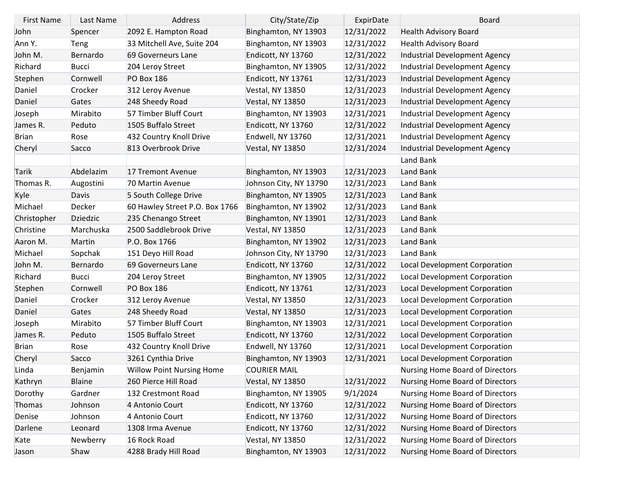| <b>First Name</b> | Last Name       | Address                          | City/State/Zip          | ExpirDate  | <b>Board</b>                         |
|-------------------|-----------------|----------------------------------|-------------------------|------------|--------------------------------------|
| John              | Spencer         | 2092 E. Hampton Road             | Binghamton, NY 13903    | 12/31/2022 | <b>Health Advisory Board</b>         |
| Ann Y.            | Teng            | 33 Mitchell Ave, Suite 204       | Binghamton, NY 13903    | 12/31/2022 | Health Advisory Board                |
| John M.           | Bernardo        | 69 Governeurs Lane               | Endicott, NY 13760      | 12/31/2022 | Industrial Development Agency        |
| Richard           | <b>Bucci</b>    | 204 Leroy Street                 | Binghamton, NY 13905    | 12/31/2022 | Industrial Development Agency        |
| Stephen           | Cornwell        | <b>PO Box 186</b>                | Endicott, NY 13761      | 12/31/2023 | Industrial Development Agency        |
| Daniel            | Crocker         | 312 Leroy Avenue                 | <b>Vestal, NY 13850</b> | 12/31/2023 | Industrial Development Agency        |
| Daniel            | Gates           | 248 Sheedy Road                  | <b>Vestal, NY 13850</b> | 12/31/2023 | Industrial Development Agency        |
| Joseph            | Mirabito        | 57 Timber Bluff Court            | Binghamton, NY 13903    | 12/31/2021 | Industrial Development Agency        |
| James R.          | Peduto          | 1505 Buffalo Street              | Endicott, NY 13760      | 12/31/2022 | Industrial Development Agency        |
| <b>Brian</b>      | Rose            | 432 Country Knoll Drive          | Endwell, NY 13760       | 12/31/2021 | Industrial Development Agency        |
| Cheryl            | Sacco           | 813 Overbrook Drive              | <b>Vestal, NY 13850</b> | 12/31/2024 | Industrial Development Agency        |
|                   |                 |                                  |                         |            | Land Bank                            |
| <b>Tarik</b>      | Abdelazim       | 17 Tremont Avenue                | Binghamton, NY 13903    | 12/31/2023 | Land Bank                            |
| Thomas R.         | Augostini       | 70 Martin Avenue                 | Johnson City, NY 13790  | 12/31/2023 | Land Bank                            |
| Kyle              | Davis           | 5 South College Drive            | Binghamton, NY 13905    | 12/31/2023 | Land Bank                            |
| Michael           | Decker          | 60 Hawley Street P.O. Box 1766   | Binghamton, NY 13902    | 12/31/2023 | Land Bank                            |
| Christopher       | <b>Dziedzic</b> | 235 Chenango Street              | Binghamton, NY 13901    | 12/31/2023 | Land Bank                            |
| Christine         | Marchuska       | 2500 Saddlebrook Drive           | Vestal, NY 13850        | 12/31/2023 | Land Bank                            |
| Aaron M.          | Martin          | P.O. Box 1766                    | Binghamton, NY 13902    | 12/31/2023 | Land Bank                            |
| Michael           | Sopchak         | 151 Deyo Hill Road               | Johnson City, NY 13790  | 12/31/2023 | Land Bank                            |
| John M.           | Bernardo        | 69 Governeurs Lane               | Endicott, NY 13760      | 12/31/2022 | Local Development Corporation        |
| Richard           | <b>Bucci</b>    | 204 Leroy Street                 | Binghamton, NY 13905    | 12/31/2022 | Local Development Corporation        |
| Stephen           | Cornwell        | <b>PO Box 186</b>                | Endicott, NY 13761      | 12/31/2023 | Local Development Corporation        |
| Daniel            | Crocker         | 312 Leroy Avenue                 | <b>Vestal, NY 13850</b> | 12/31/2023 | Local Development Corporation        |
| Daniel            | Gates           | 248 Sheedy Road                  | <b>Vestal, NY 13850</b> | 12/31/2023 | Local Development Corporation        |
| Joseph            | Mirabito        | 57 Timber Bluff Court            | Binghamton, NY 13903    | 12/31/2021 | <b>Local Development Corporation</b> |
| James R.          | Peduto          | 1505 Buffalo Street              | Endicott, NY 13760      | 12/31/2022 | Local Development Corporation        |
| <b>Brian</b>      | Rose            | 432 Country Knoll Drive          | Endwell, NY 13760       | 12/31/2021 | Local Development Corporation        |
| Cheryl            | Sacco           | 3261 Cynthia Drive               | Binghamton, NY 13903    | 12/31/2021 | Local Development Corporation        |
| Linda             | Benjamin        | <b>Willow Point Nursing Home</b> | <b>COURIER MAIL</b>     |            | Nursing Home Board of Directors      |
| Kathryn           | <b>Blaine</b>   | 260 Pierce Hill Road             | <b>Vestal, NY 13850</b> | 12/31/2022 | Nursing Home Board of Directors      |
| Dorothy           | Gardner         | 132 Crestmont Road               | Binghamton, NY 13905    | 9/1/2024   | Nursing Home Board of Directors      |
| Thomas            | Johnson         | 4 Antonio Court                  | Endicott, NY 13760      | 12/31/2022 | Nursing Home Board of Directors      |
| Denise            | Johnson         | 4 Antonio Court                  | Endicott, NY 13760      | 12/31/2022 | Nursing Home Board of Directors      |
| Darlene           | Leonard         | 1308 Irma Avenue                 | Endicott, NY 13760      | 12/31/2022 | Nursing Home Board of Directors      |
| Kate              | Newberry        | 16 Rock Road                     | <b>Vestal, NY 13850</b> | 12/31/2022 | Nursing Home Board of Directors      |
| Jason             | Shaw            | 4288 Brady Hill Road             | Binghamton, NY 13903    | 12/31/2022 | Nursing Home Board of Directors      |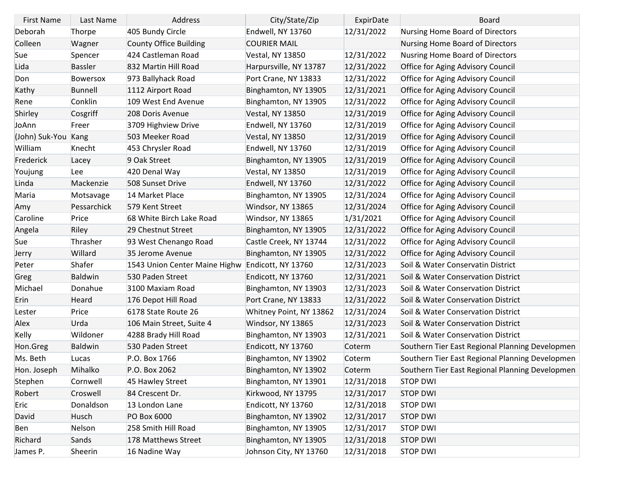| <b>First Name</b>   | Last Name       | Address                                          | City/State/Zip          | ExpirDate  | <b>Board</b>                                    |
|---------------------|-----------------|--------------------------------------------------|-------------------------|------------|-------------------------------------------------|
| Deborah             | Thorpe          | 405 Bundy Circle                                 | Endwell, NY 13760       | 12/31/2022 | Nursing Home Board of Directors                 |
| Colleen             | Wagner          | <b>County Office Building</b>                    | <b>COURIER MAIL</b>     |            | Nursing Home Board of Directors                 |
| Sue                 | Spencer         | 424 Castleman Road                               | Vestal, NY 13850        | 12/31/2022 | Nusring Home Board of Directors                 |
| Lida                | <b>Bassler</b>  | 832 Martin Hill Road                             | Harpursville, NY 13787  | 12/31/2022 | Office for Aging Advisory Council               |
| Don                 | <b>Bowersox</b> | 973 Ballyhack Road                               | Port Crane, NY 13833    | 12/31/2022 | Office for Aging Advisory Council               |
| Kathy               | <b>Bunnell</b>  | 1112 Airport Road                                | Binghamton, NY 13905    | 12/31/2021 | Office for Aging Advisory Council               |
| Rene                | Conklin         | 109 West End Avenue                              | Binghamton, NY 13905    | 12/31/2022 | Office for Aging Advisory Council               |
| Shirley             | Cosgriff        | 208 Doris Avenue                                 | <b>Vestal, NY 13850</b> | 12/31/2019 | <b>Office for Aging Advisory Council</b>        |
| JoAnn               | Freer           | 3709 Highview Drive                              | Endwell, NY 13760       | 12/31/2019 | Office for Aging Advisory Council               |
| (John) Suk-You Kang |                 | 503 Meeker Road                                  | <b>Vestal, NY 13850</b> | 12/31/2019 | Office for Aging Advisory Council               |
| William             | Knecht          | 453 Chrysler Road                                | Endwell, NY 13760       | 12/31/2019 | Office for Aging Advisory Council               |
| Frederick           | Lacey           | 9 Oak Street                                     | Binghamton, NY 13905    | 12/31/2019 | Office for Aging Advisory Council               |
| Youjung             | <b>Lee</b>      | 420 Denal Way                                    | <b>Vestal, NY 13850</b> | 12/31/2019 | Office for Aging Advisory Council               |
| Linda               | Mackenzie       | 508 Sunset Drive                                 | Endwell, NY 13760       | 12/31/2022 | Office for Aging Advisory Council               |
| Maria               | Motsavage       | 14 Market Place                                  | Binghamton, NY 13905    | 12/31/2024 | Office for Aging Advisory Council               |
| Amy                 | Pessarchick     | 579 Kent Street                                  | Windsor, NY 13865       | 12/31/2024 | Office for Aging Advisory Council               |
| Caroline            | Price           | 68 White Birch Lake Road                         | Windsor, NY 13865       | 1/31/2021  | Office for Aging Advisory Council               |
| Angela              | Riley           | 29 Chestnut Street                               | Binghamton, NY 13905    | 12/31/2022 | Office for Aging Advisory Council               |
| Sue                 | Thrasher        | 93 West Chenango Road                            | Castle Creek, NY 13744  | 12/31/2022 | Office for Aging Advisory Council               |
| Jerry               | Willard         | 35 Jerome Avenue                                 | Binghamton, NY 13905    | 12/31/2022 | Office for Aging Advisory Council               |
| Peter               | Shafer          | 1543 Union Center Maine Highw Endicott, NY 13760 |                         | 12/31/2023 | Soil & Water Conservatin District               |
| Greg                | <b>Baldwin</b>  | 530 Paden Street                                 | Endicott, NY 13760      | 12/31/2021 | Soil & Water Conservation District              |
| Michael             | Donahue         | 3100 Maxiam Road                                 | Binghamton, NY 13903    | 12/31/2023 | Soil & Water Conservation District              |
| Erin                | Heard           | 176 Depot Hill Road                              | Port Crane, NY 13833    | 12/31/2022 | Soil & Water Conservation District              |
| Lester              | Price           | 6178 State Route 26                              | Whitney Point, NY 13862 | 12/31/2024 | Soil & Water Conservation District              |
| Alex                | Urda            | 106 Main Street, Suite 4                         | Windsor, NY 13865       | 12/31/2023 | Soil & Water Conservation District              |
| Kelly               | Wildoner        | 4288 Brady Hill Road                             | Binghamton, NY 13903    | 12/31/2021 | Soil & Water Conservation District              |
| Hon.Greg            | <b>Baldwin</b>  | 530 Paden Street                                 | Endicott, NY 13760      | Coterm     | Southern Tier East Regional Planning Developmen |
| Ms. Beth            | Lucas           | P.O. Box 1766                                    | Binghamton, NY 13902    | Coterm     | Southern Tier East Regional Planning Developmen |
| Hon. Joseph         | Mihalko         | P.O. Box 2062                                    | Binghamton, NY 13902    | Coterm     | Southern Tier East Regional Planning Developmen |
| Stephen             | Cornwell        | 45 Hawley Street                                 | Binghamton, NY 13901    | 12/31/2018 | <b>STOP DWI</b>                                 |
| Robert              | Croswell        | 84 Crescent Dr.                                  | Kirkwood, NY 13795      | 12/31/2017 | <b>STOP DWI</b>                                 |
| Eric                | Donaldson       | 13 London Lane                                   | Endicott, NY 13760      | 12/31/2018 | <b>STOP DWI</b>                                 |
| David               | <b>Husch</b>    | PO Box 6000                                      | Binghamton, NY 13902    | 12/31/2017 | <b>STOP DWI</b>                                 |
| Ben                 | Nelson          | 258 Smith Hill Road                              | Binghamton, NY 13905    | 12/31/2017 | <b>STOP DWI</b>                                 |
| Richard             | Sands           | 178 Matthews Street                              | Binghamton, NY 13905    | 12/31/2018 | <b>STOP DWI</b>                                 |
| James P.            | Sheerin         | 16 Nadine Way                                    | Johnson City, NY 13760  | 12/31/2018 | <b>STOP DWI</b>                                 |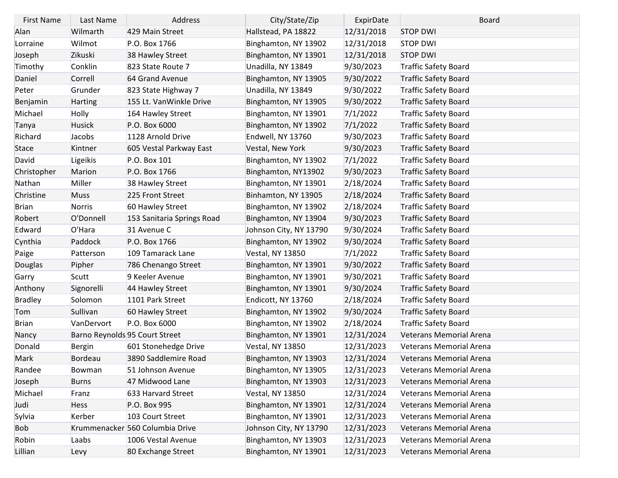| <b>First Name</b> | Last Name      | Address                         | City/State/Zip          | ExpirDate  | <b>Board</b>                |
|-------------------|----------------|---------------------------------|-------------------------|------------|-----------------------------|
| Alan              | Wilmarth       | 429 Main Street                 | Hallstead, PA 18822     | 12/31/2018 | <b>STOP DWI</b>             |
| Lorraine          | Wilmot         | P.O. Box 1766                   | Binghamton, NY 13902    | 12/31/2018 | <b>STOP DWI</b>             |
| Joseph            | Zikuski        | 38 Hawley Street                | Binghamton, NY 13901    | 12/31/2018 | <b>STOP DWI</b>             |
| Timothy           | Conklin        | 823 State Route 7               | Unadilla, NY 13849      | 9/30/2023  | <b>Traffic Safety Board</b> |
| Daniel            | Correll        | 64 Grand Avenue                 | Binghamton, NY 13905    | 9/30/2022  | <b>Traffic Safety Board</b> |
| Peter             | Grunder        | 823 State Highway 7             | Unadilla, NY 13849      | 9/30/2022  | <b>Traffic Safety Board</b> |
| Benjamin          | Harting        | 155 Lt. VanWinkle Drive         | Binghamton, NY 13905    | 9/30/2022  | <b>Traffic Safety Board</b> |
| Michael           | <b>Holly</b>   | 164 Hawley Street               | Binghamton, NY 13901    | 7/1/2022   | Traffic Safety Board        |
| Tanya             | <b>Husick</b>  | P.O. Box 6000                   | Binghamton, NY 13902    | 7/1/2022   | <b>Traffic Safety Board</b> |
| Richard           | Jacobs         | 1128 Arnold Drive               | Endwell, NY 13760       | 9/30/2023  | Traffic Safety Board        |
| <b>Stace</b>      | Kintner        | 605 Vestal Parkway East         | Vestal, New York        | 9/30/2023  | <b>Traffic Safety Board</b> |
| David             | Ligeikis       | P.O. Box 101                    | Binghamton, NY 13902    | 7/1/2022   | <b>Traffic Safety Board</b> |
| Christopher       | Marion         | P.O. Box 1766                   | Binghamton, NY13902     | 9/30/2023  | <b>Traffic Safety Board</b> |
| Nathan            | Miller         | 38 Hawley Street                | Binghamton, NY 13901    | 2/18/2024  | <b>Traffic Safety Board</b> |
| Christine         | <b>Muss</b>    | 225 Front Street                | Binhamton, NY 13905     | 2/18/2024  | <b>Traffic Safety Board</b> |
| Brian             | Norris         | 60 Hawley Street                | Binghamton, NY 13902    | 2/18/2024  | Traffic Safety Board        |
| Robert            | O'Donnell      | 153 Sanitaria Springs Road      | Binghamton, NY 13904    | 9/30/2023  | <b>Traffic Safety Board</b> |
| Edward            | O'Hara         | 31 Avenue C                     | Johnson City, NY 13790  | 9/30/2024  | Traffic Safety Board        |
| Cynthia           | Paddock        | P.O. Box 1766                   | Binghamton, NY 13902    | 9/30/2024  | <b>Traffic Safety Board</b> |
| Paige             | Patterson      | 109 Tamarack Lane               | <b>Vestal, NY 13850</b> | 7/1/2022   | <b>Traffic Safety Board</b> |
| Douglas           | Pipher         | 786 Chenango Street             | Binghamton, NY 13901    | 9/30/2022  | <b>Traffic Safety Board</b> |
| Garry             | Scutt          | 9 Keeler Avenue                 | Binghamton, NY 13901    | 9/30/2021  | Traffic Safety Board        |
| Anthony           | Signorelli     | 44 Hawley Street                | Binghamton, NY 13901    | 9/30/2024  | <b>Traffic Safety Board</b> |
| <b>Bradley</b>    | Solomon        | 1101 Park Street                | Endicott, NY 13760      | 2/18/2024  | Traffic Safety Board        |
| Tom               | Sullivan       | 60 Hawley Street                | Binghamton, NY 13902    | 9/30/2024  | <b>Traffic Safety Board</b> |
| Brian             | VanDervort     | P.O. Box 6000                   | Binghamton, NY 13902    | 2/18/2024  | Traffic Safety Board        |
| Nancy             |                | Barno Reynolds 95 Court Street  | Binghamton, NY 13901    | 12/31/2024 | Veterans Memorial Arena     |
| Donald            | <b>Bergin</b>  | 601 Stonehedge Drive            | <b>Vestal, NY 13850</b> | 12/31/2023 | Veterans Memorial Arena     |
| Mark              | <b>Bordeau</b> | 3890 Saddlemire Road            | Binghamton, NY 13903    | 12/31/2024 | Veterans Memorial Arena     |
| Randee            | Bowman         | 51 Johnson Avenue               | Binghamton, NY 13905    | 12/31/2023 | Veterans Memorial Arena     |
| Joseph            | <b>Burns</b>   | 47 Midwood Lane                 | Binghamton, NY 13903    | 12/31/2023 | Veterans Memorial Arena     |
| Michael           | Franz          | 633 Harvard Street              | <b>Vestal, NY 13850</b> | 12/31/2024 | Veterans Memorial Arena     |
| Judi              | <b>Hess</b>    | P.O. Box 995                    | Binghamton, NY 13901    | 12/31/2024 | Veterans Memorial Arena     |
| Sylvia            | Kerber         | 103 Court Street                | Binghamton, NY 13901    | 12/31/2023 | Veterans Memorial Arena     |
| Bob               |                | Krummenacker 560 Columbia Drive | Johnson City, NY 13790  | 12/31/2023 | Veterans Memorial Arena     |
| Robin             | Laabs          | 1006 Vestal Avenue              | Binghamton, NY 13903    | 12/31/2023 | Veterans Memorial Arena     |
| Lillian           | Levy           | 80 Exchange Street              | Binghamton, NY 13901    | 12/31/2023 | Veterans Memorial Arena     |